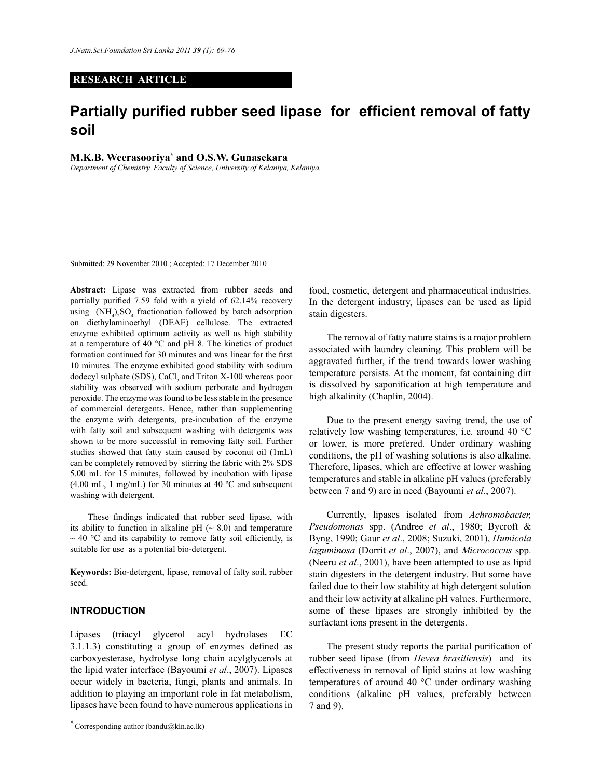## **RESEARCH ARTICLE**

# **Partially purified rubber seed lipase for efficient removal of fatty soil**

## **M.K.B. Weerasooriya\* and O.S.W. Gunasekara**

*Department of Chemistry, Faculty of Science, University of Kelaniya, Kelaniya.*

Submitted: 29 November 2010 ; Accepted: 17 December 2010

**Abstract:** Lipase was extracted from rubber seeds and partially purified 7.59 fold with a yield of 62.14% recovery using  $(NH_4)_2SO_4$  fractionation followed by batch adsorption on diethylaminoethyl (DEAE) cellulose. The extracted enzyme exhibited optimum activity as well as high stability at a temperature of 40 °C and pH 8. The kinetics of product formation continued for 30 minutes and was linear for the first 10 minutes. The enzyme exhibited good stability with sodium dodecyl sulphate (SDS), CaCl<sub>2</sub> and Triton X-100 whereas poor stability was observed with sodium perborate and hydrogen peroxide. The enzyme was found to be less stable in the presence of commercial detergents. Hence, rather than supplementing the enzyme with detergents, pre-incubation of the enzyme with fatty soil and subsequent washing with detergents was shown to be more successful in removing fatty soil. Further studies showed that fatty stain caused by coconut oil (1mL) can be completely removed by stirring the fabric with 2% SDS 5.00 mL for 15 minutes, followed by incubation with lipase (4.00 mL, 1 mg/mL) for 30 minutes at 40  $^{\circ}$ C and subsequent washing with detergent.

 These findings indicated that rubber seed lipase, with its ability to function in alkaline pH  $(\sim 8.0)$  and temperature  $\sim$  40 °C and its capability to remove fatty soil efficiently, is suitable for use as a potential bio-detergent.

**Keywords:** Bio-detergent, lipase, removal of fatty soil, rubber seed.

## **INTRODUCTION**

Lipases (triacyl glycerol acyl hydrolases EC 3.1.1.3) constituting a group of enzymes defined as carboxyesterase, hydrolyse long chain acylglycerols at the lipid water interface (Bayoumi *et al*., 2007). Lipases occur widely in bacteria, fungi, plants and animals. In addition to playing an important role in fat metabolism, lipases have been found to have numerous applications in

food, cosmetic, detergent and pharmaceutical industries. In the detergent industry, lipases can be used as lipid stain digesters.

The removal of fatty nature stains is a major problem associated with laundry cleaning. This problem will be aggravated further, if the trend towards lower washing temperature persists. At the moment, fat containing dirt is dissolved by saponification at high temperature and high alkalinity (Chaplin, 2004).

 Due to the present energy saving trend, the use of relatively low washing temperatures, i.e. around 40 °C or lower, is more prefered. Under ordinary washing conditions, the pH of washing solutions is also alkaline. Therefore, lipases, which are effective at lower washing temperatures and stable in alkaline pH values (preferably between 7 and 9) are in need (Bayoumi *et al.*, 2007).

 Currently, lipases isolated from *Achromobacter, Pseudomonas* spp. (Andree *et al*., 1980; Bycroft & Byng, 1990; Gaur *et al*., 2008; Suzuki, 2001), *Humicola laguminosa* (Dorrit *et al*., 2007), and *Micrococcus* spp. (Neeru *et al*., 2001), have been attempted to use as lipid stain digesters in the detergent industry. But some have failed due to their low stability at high detergent solution and their low activity at alkaline pH values. Furthermore, some of these lipases are strongly inhibited by the surfactant ions present in the detergents.

 The present study reports the partial purification of rubber seed lipase (from *Hevea brasiliensis*) and its effectiveness in removal of lipid stains at low washing temperatures of around 40 °C under ordinary washing conditions (alkaline pH values, preferably between 7 and 9).

*<sup>\*</sup>* Corresponding author (bandu@kln.ac.lk)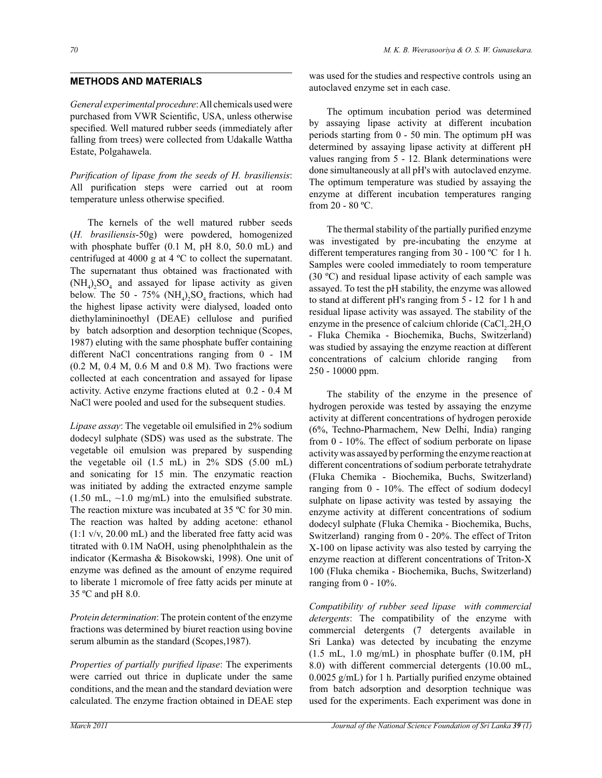# **METHODS AND MATERIALS**

*General experimental procedure*: All chemicals used were purchased from VWR Scientific, USA, unless otherwise specified. Well matured rubber seeds (immediately after falling from trees) were collected from Udakalle Wattha Estate, Polgahawela.

*Purification of lipase from the seeds of H. brasiliensis*: All purification steps were carried out at room temperature unless otherwise specified.

 The kernels of the well matured rubber seeds (*H. brasiliensis*-50g) were powdered, homogenized with phosphate buffer (0.1 M, pH 8.0, 50.0 mL) and centrifuged at 4000 g at 4 ºC to collect the supernatant. The supernatant thus obtained was fractionated with  $(NH_4)_2SO_4$  and assayed for lipase activity as given below. The 50 - 75%  $(NH_4)_2SO_4$  fractions, which had the highest lipase activity were dialysed, loaded onto diethylamininoethyl (DEAE) cellulose and purified by batch adsorption and desorption technique (Scopes, 1987) eluting with the same phosphate buffer containing different NaCl concentrations ranging from 0 - 1M (0.2 M, 0.4 M, 0.6 M and 0.8 M). Two fractions were collected at each concentration and assayed for lipase activity. Active enzyme fractions eluted at 0.2 - 0.4 M NaCl were pooled and used for the subsequent studies.

*Lipase assay*: The vegetable oil emulsified in 2% sodium dodecyl sulphate (SDS) was used as the substrate. The vegetable oil emulsion was prepared by suspending the vegetable oil (1.5 mL) in 2% SDS (5.00 mL) and sonicating for 15 min. The enzymatic reaction was initiated by adding the extracted enzyme sample  $(1.50 \text{ mL}, \sim 1.0 \text{ mg/mL})$  into the emulsified substrate. The reaction mixture was incubated at 35 ºC for 30 min. The reaction was halted by adding acetone: ethanol (1:1 v/v, 20.00 mL) and the liberated free fatty acid was titrated with 0.1M NaOH, using phenolphthalein as the indicator (Kermasha & Bisokowski, 1998). One unit of enzyme was defined as the amount of enzyme required to liberate 1 micromole of free fatty acids per minute at 35 ºC and pH 8.0.

*Protein determination*: The protein content of the enzyme fractions was determined by biuret reaction using bovine serum albumin as the standard (Scopes, 1987).

*Properties of partially purified lipase*: The experiments were carried out thrice in duplicate under the same conditions, and the mean and the standard deviation were calculated. The enzyme fraction obtained in DEAE step

was used for the studies and respective controls using an autoclaved enzyme set in each case.

 The optimum incubation period was determined by assaying lipase activity at different incubation periods starting from 0 - 50 min. The optimum pH was determined by assaying lipase activity at different pH values ranging from 5 - 12. Blank determinations were done simultaneously at all pH's with autoclaved enzyme. The optimum temperature was studied by assaying the enzyme at different incubation temperatures ranging from 20 - 80 ºC.

 The thermal stability of the partially purified enzyme was investigated by pre-incubating the enzyme at different temperatures ranging from 30 - 100 ºC for 1 h. Samples were cooled immediately to room temperature (30 ºC) and residual lipase activity of each sample was assayed. To test the pH stability, the enzyme was allowed to stand at different pH's ranging from 5 - 12 for 1 h and residual lipase activity was assayed. The stability of the enzyme in the presence of calcium chloride  $(CaCl<sub>2</sub>.2H<sub>2</sub>O$ - Fluka Chemika - Biochemika, Buchs, Switzerland) was studied by assaying the enzyme reaction at different concentrations of calcium chloride ranging from 250 - 10000 ppm.

 The stability of the enzyme in the presence of hydrogen peroxide was tested by assaying the enzyme activity at different concentrations of hydrogen peroxide (6%, Techno-Pharmachem, New Delhi, India) ranging from 0 - 10%. The effect of sodium perborate on lipase activity was assayed by performing the enzyme reaction at different concentrations of sodium perborate tetrahydrate (Fluka Chemika - Biochemika, Buchs, Switzerland) ranging from 0 - 10%. The effect of sodium dodecyl sulphate on lipase activity was tested by assaying the enzyme activity at different concentrations of sodium dodecyl sulphate (Fluka Chemika - Biochemika, Buchs, Switzerland) ranging from 0 - 20%. The effect of Triton X-100 on lipase activity was also tested by carrying the enzyme reaction at different concentrations of Triton-X 100 (Fluka chemika - Biochemika, Buchs, Switzerland) ranging from 0 - 10%.

*Compatibility of rubber seed lipase with commercial detergents*: The compatibility of the enzyme with commercial detergents (7 detergents available in Sri Lanka) was detected by incubating the enzyme (1.5 mL, 1.0 mg/mL) in phosphate buffer (0.1M, pH 8.0) with different commercial detergents (10.00 mL, 0.0025 g/mL) for 1 h. Partially purified enzyme obtained from batch adsorption and desorption technique was used for the experiments. Each experiment was done in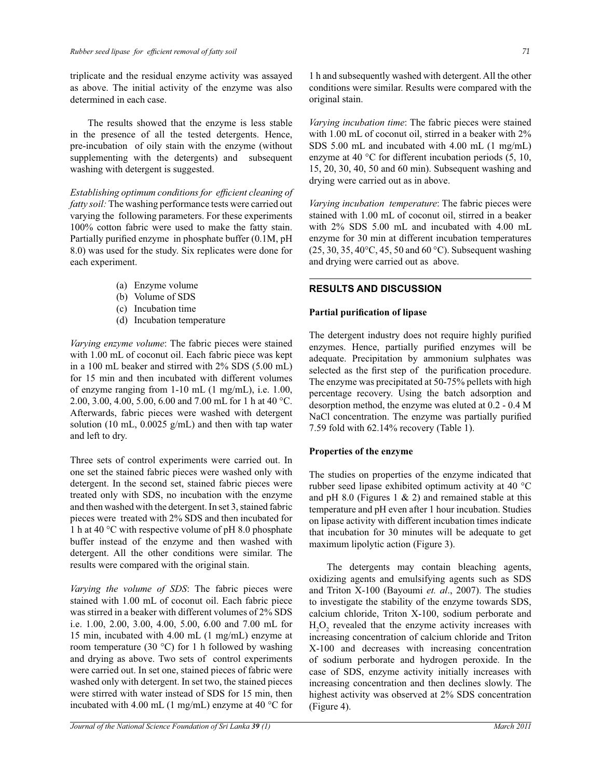triplicate and the residual enzyme activity was assayed as above. The initial activity of the enzyme was also determined in each case.

 The results showed that the enzyme is less stable in the presence of all the tested detergents. Hence, pre-incubation of oily stain with the enzyme (without supplementing with the detergents) and subsequent washing with detergent is suggested.

*Establishing optimum conditions for efficient cleaning of fatty soil:* The washing performance tests were carried out varying the following parameters. For these experiments 100% cotton fabric were used to make the fatty stain. Partially purified enzyme in phosphate buffer (0.1M, pH 8.0) was used for the study. Six replicates were done for each experiment.

- (a) Enzyme volume
- (b) Volume of SDS
- (c) Incubation time
- (d) Incubation temperature

*Varying enzyme volume*: The fabric pieces were stained with 1.00 mL of coconut oil. Each fabric piece was kept in a 100 mL beaker and stirred with 2% SDS (5.00 mL) for 15 min and then incubated with different volumes of enzyme ranging from 1-10 mL (1 mg/mL), i.e. 1.00, 2.00, 3.00, 4.00, 5.00, 6.00 and 7.00 mL for 1 h at 40 °C. Afterwards, fabric pieces were washed with detergent solution (10 mL,  $0.0025$  g/mL) and then with tap water and left to dry.

Three sets of control experiments were carried out. In one set the stained fabric pieces were washed only with detergent. In the second set, stained fabric pieces were treated only with SDS, no incubation with the enzyme and then washed with the detergent. In set 3, stained fabric pieces were treated with 2% SDS and then incubated for 1 h at 40 °C with respective volume of pH 8.0 phosphate buffer instead of the enzyme and then washed with detergent. All the other conditions were similar. The results were compared with the original stain.

*Varying the volume of SDS*: The fabric pieces were stained with 1.00 mL of coconut oil. Each fabric piece was stirred in a beaker with different volumes of 2% SDS i.e. 1.00, 2.00, 3.00, 4.00, 5.00, 6.00 and 7.00 mL for 15 min, incubated with 4.00 mL (1 mg/mL) enzyme at room temperature (30  $^{\circ}$ C) for 1 h followed by washing and drying as above. Two sets of control experiments were carried out. In set one, stained pieces of fabric were washed only with detergent. In set two, the stained pieces were stirred with water instead of SDS for 15 min, then incubated with 4.00 mL (1 mg/mL) enzyme at 40 °C for 1 h and subsequently washed with detergent. All the other conditions were similar. Results were compared with the original stain.

*Varying incubation time*: The fabric pieces were stained with 1.00 mL of coconut oil, stirred in a beaker with 2% SDS 5.00 mL and incubated with 4.00 mL (1 mg/mL) enzyme at 40 °C for different incubation periods (5, 10, 15, 20, 30, 40, 50 and 60 min). Subsequent washing and drying were carried out as in above.

*Varying incubation temperature*: The fabric pieces were stained with 1.00 mL of coconut oil, stirred in a beaker with 2% SDS 5.00 mL and incubated with 4.00 mL enzyme for 30 min at different incubation temperatures  $(25, 30, 35, 40\degree C, 45, 50 \text{ and } 60\degree C)$ . Subsequent washing and drying were carried out as above.

# **RESULTS AND DISCUSSION**

#### **Partial purification of lipase**

The detergent industry does not require highly purified enzymes. Hence, partially purified enzymes will be adequate. Precipitation by ammonium sulphates was selected as the first step of the purification procedure. The enzyme was precipitated at 50-75% pellets with high percentage recovery. Using the batch adsorption and desorption method, the enzyme was eluted at 0.2 - 0.4 M NaCl concentration. The enzyme was partially purified 7.59 fold with 62.14% recovery (Table 1).

## **Properties of the enzyme**

The studies on properties of the enzyme indicated that rubber seed lipase exhibited optimum activity at 40 °C and pH 8.0 (Figures 1  $\&$  2) and remained stable at this temperature and pH even after 1 hour incubation. Studies on lipase activity with different incubation times indicate that incubation for 30 minutes will be adequate to get maximum lipolytic action (Figure 3).

 The detergents may contain bleaching agents, oxidizing agents and emulsifying agents such as SDS and Triton X-100 (Bayoumi *et. al*., 2007). The studies to investigate the stability of the enzyme towards SDS, calcium chloride, Triton X-100, sodium perborate and  $H_2O_2$  revealed that the enzyme activity increases with increasing concentration of calcium chloride and Triton X-100 and decreases with increasing concentration of sodium perborate and hydrogen peroxide. In the case of SDS, enzyme activity initially increases with increasing concentration and then declines slowly. The highest activity was observed at 2% SDS concentration (Figure 4).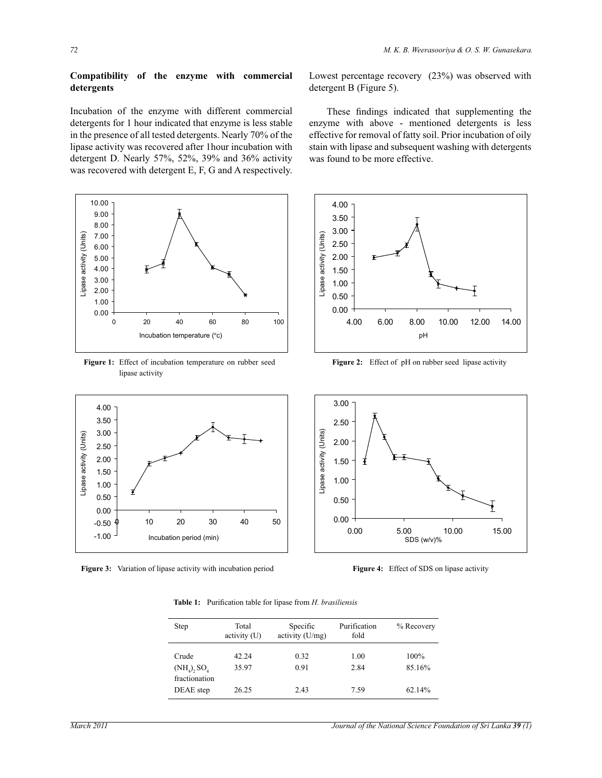# **Compatibility of the enzyme with commercial detergents**

Incubation of the enzyme with different commercial detergents for 1 hour indicated that enzyme is less stable in the presence of all tested detergents. Nearly 70% of the lipase activity was recovered after 1hour incubation with detergent D. Nearly 57%, 52%, 39% and 36% activity was recovered with detergent E, F, G and A respectively.



**Figure 1:** Effect of incubation temperature on rubber seed lipase activity

Lowest percentage recovery (23%) was observed with detergent B (Figure 5).

 These findings indicated that supplementing the enzyme with above - mentioned detergents is less effective for removal of fatty soil. Prior incubation of oily stain with lipase and subsequent washing with detergents was found to be more effective.



Figure 2: Effect of pH on rubber seed lipase activity



**Figure 3:** Variation of lipase activity with incubation period



**Figure 4:** Effect of SDS on lipase activity

**Table 1:** Purification table for lipase from *H. brasiliensis*

| Step                                | Total<br>activity (U) | Specific<br>activity (U/mg) | Purification<br>fold | $%$ Recovery   |
|-------------------------------------|-----------------------|-----------------------------|----------------------|----------------|
| Crude<br>$(NH_4)$ , SO <sub>4</sub> | 42.24<br>35.97        | 0.32<br>0.91                | 1.00<br>2.84         | 100%<br>85.16% |
| fractionation<br>DEAE step          | 26.25                 | 2.43                        | 7.59                 | 62.14%         |

-1.00 -0.50 0.00 0.50 1.00 1.50 2.00 2.50 3.00 3.50 4.00

Lipase activity (Units)

ipase activity (Units)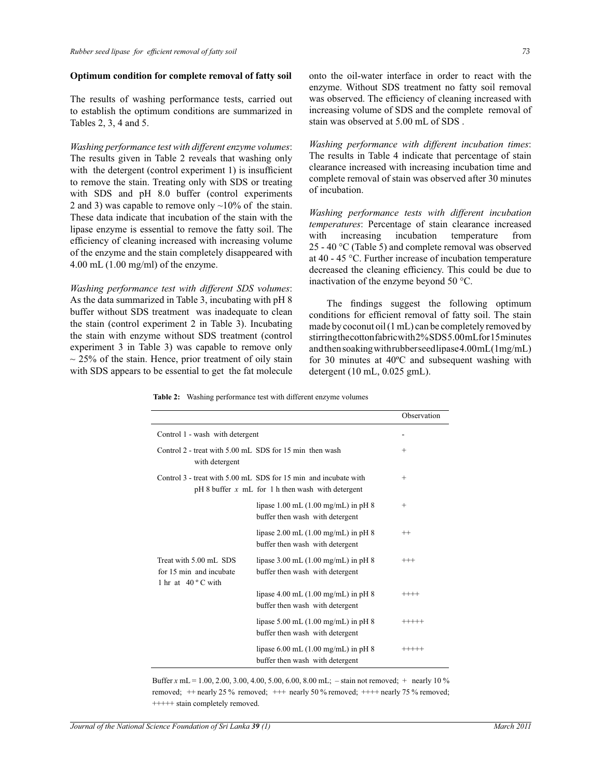#### **Optimum condition for complete removal of fatty soil**

The results of washing performance tests, carried out to establish the optimum conditions are summarized in Tables 2, 3, 4 and 5.

*Washing performance test with different enzyme volumes*: The results given in Table 2 reveals that washing only with the detergent (control experiment 1) is insufficient to remove the stain. Treating only with SDS or treating with SDS and pH 8.0 buffer (control experiments 2 and 3) was capable to remove only  $\sim$ 10% of the stain. These data indicate that incubation of the stain with the lipase enzyme is essential to remove the fatty soil. The efficiency of cleaning increased with increasing volume of the enzyme and the stain completely disappeared with 4.00 mL (1.00 mg/ml) of the enzyme.

*Washing performance test with different SDS volumes*: As the data summarized in Table 3, incubating with pH 8 buffer without SDS treatment was inadequate to clean the stain (control experiment 2 in Table 3). Incubating the stain with enzyme without SDS treatment (control experiment 3 in Table 3) was capable to remove only  $\sim$  25% of the stain. Hence, prior treatment of oily stain with SDS appears to be essential to get the fat molecule

onto the oil-water interface in order to react with the enzyme. Without SDS treatment no fatty soil removal was observed. The efficiency of cleaning increased with increasing volume of SDS and the complete removal of stain was observed at 5.00 mL of SDS .

*Washing performance with different incubation times*: The results in Table 4 indicate that percentage of stain clearance increased with increasing incubation time and complete removal of stain was observed after 30 minutes of incubation.

*Washing performance tests with different incubation temperatures*: Percentage of stain clearance increased with increasing incubation temperature from 25 - 40 °C (Table 5) and complete removal was observed at 40 - 45 °C. Further increase of incubation temperature decreased the cleaning efficiency. This could be due to inactivation of the enzyme beyond 50 °C.

 The findings suggest the following optimum conditions for efficient removal of fatty soil. The stain made by coconut oil (1 mL) can be completely removed by stirring the cotton fabric with 2% SDS 5.00 mL for 15 minutes and then soaking with rubber seed lipase 4.00 mL (1mg/mL) for 30 minutes at 40ºC and subsequent washing with detergent (10 mL, 0.025 gmL).

**Table 2:** Washing performance test with different enzyme volumes

|                                                                                  |                                                                                                                        | Observation |
|----------------------------------------------------------------------------------|------------------------------------------------------------------------------------------------------------------------|-------------|
| Control 1 - wash with detergent                                                  |                                                                                                                        |             |
| with detergent                                                                   | Control 2 - treat with 5.00 mL SDS for 15 min then wash                                                                | $^{+}$      |
|                                                                                  | Control 3 - treat with 5.00 mL SDS for 15 min and incubate with<br>pH 8 buffer $x$ mL for 1 h then wash with detergent | $^{+}$      |
|                                                                                  | lipase $1.00$ mL $(1.00$ mg/mL) in pH $8$<br>buffer then wash with detergent                                           | $^{+}$      |
|                                                                                  | lipase 2.00 mL (1.00 mg/mL) in pH 8<br>buffer then wash with detergent                                                 | $^{++}$     |
| Treat with 5.00 mL SDS<br>for 15 min and incubate<br>1 hr at $40^{\circ}$ C with | lipase $3.00$ mL $(1.00$ mg/mL) in pH $8$<br>buffer then wash with detergent                                           | $^{+++}$    |
|                                                                                  | lipase $4.00$ mL $(1.00$ mg/mL) in pH $8$<br>buffer then wash with detergent                                           | $^{+++}$    |
|                                                                                  | lipase $5.00$ mL $(1.00$ mg/mL) in pH $8$<br>buffer then wash with detergent                                           | $+++++$     |
|                                                                                  | lipase $6.00$ mL $(1.00$ mg/mL) in pH $8$<br>buffer then wash with detergent                                           | $+++++$     |

Buffer *x* mL = 1.00, 2.00, 3.00, 4.00, 5.00, 6.00, 8.00 mL; - stain not removed; + nearly 10 % removed;  $+$  nearly 25 % removed;  $++$  nearly 50 % removed;  $++$  nearly 75 % removed; +++++ stain completely removed.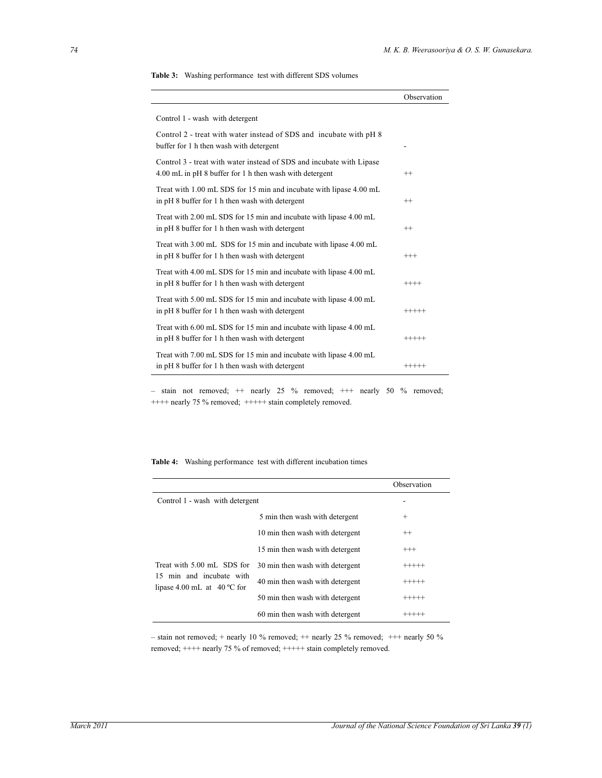|  |  | <b>Table 3:</b> Washing performance test with different SDS volumes |
|--|--|---------------------------------------------------------------------|
|--|--|---------------------------------------------------------------------|

|                                                                                                                                 | Observation |
|---------------------------------------------------------------------------------------------------------------------------------|-------------|
| Control 1 - wash with detergent                                                                                                 |             |
| Control 2 - treat with water instead of SDS and incubate with pH 8<br>buffer for 1 h then wash with detergent                   |             |
| Control 3 - treat with water instead of SDS and incubate with Lipase<br>4.00 mL in pH 8 buffer for 1 h then wash with detergent | $^{++}$     |
| Treat with 1.00 mL SDS for 15 min and incubate with lipase 4.00 mL<br>in pH 8 buffer for 1 h then wash with detergent           | $^{++}$     |
| Treat with 2.00 mL SDS for 15 min and incubate with lipase 4.00 mL<br>in pH 8 buffer for 1 h then wash with detergent           | $^{++}$     |
| Treat with 3.00 mL SDS for 15 min and incubate with lipase 4.00 mL<br>in pH 8 buffer for 1 h then wash with detergent           | $^{+++}$    |
| Treat with 4.00 mL SDS for 15 min and incubate with lipase 4.00 mL<br>in pH 8 buffer for 1 h then wash with detergent           | $++++-$     |
| Treat with 5.00 mL SDS for 15 min and incubate with lipase 4.00 mL<br>in pH 8 buffer for 1 h then wash with detergent           | $+++++$     |
| Treat with 6.00 mL SDS for 15 min and incubate with lipase 4.00 mL<br>in pH 8 buffer for 1 h then wash with detergent           | $+++++$     |
| Treat with 7.00 mL SDS for 15 min and incubate with lipase 4.00 mL<br>in pH 8 buffer for 1 h then wash with detergent           | $+++++$     |

– stain not removed;  $++$  nearly 25 % removed;  $++$  nearly 50 % removed; ++++ nearly 75 % removed; +++++ stain completely removed.

| <b>Table 4:</b> Washing performance test with different incubation times |  |  |  |  |
|--------------------------------------------------------------------------|--|--|--|--|
|--------------------------------------------------------------------------|--|--|--|--|

|                                                                                                |                                 | Observation |
|------------------------------------------------------------------------------------------------|---------------------------------|-------------|
| Control 1 - wash with detergent                                                                |                                 |             |
|                                                                                                | 5 min then wash with detergent  | $^{+}$      |
|                                                                                                | 10 min then wash with detergent | $^{++}$     |
|                                                                                                | 15 min then wash with detergent | $^{+++}$    |
| Treat with 5.00 mL SDS for<br>15 min and incubate with<br>lipase 4.00 mL at $40^{\circ}$ C for | 30 min then wash with detergent | $+++++$     |
|                                                                                                | 40 min then wash with detergent | $+++++$     |
|                                                                                                | 50 min then wash with detergent | $+++++$     |
|                                                                                                | 60 min then wash with detergent |             |

– stain not removed; + nearly 10 % removed; ++ nearly 25 % removed; +++ nearly 50 % removed; ++++ nearly 75 % of removed; +++++ stain completely removed.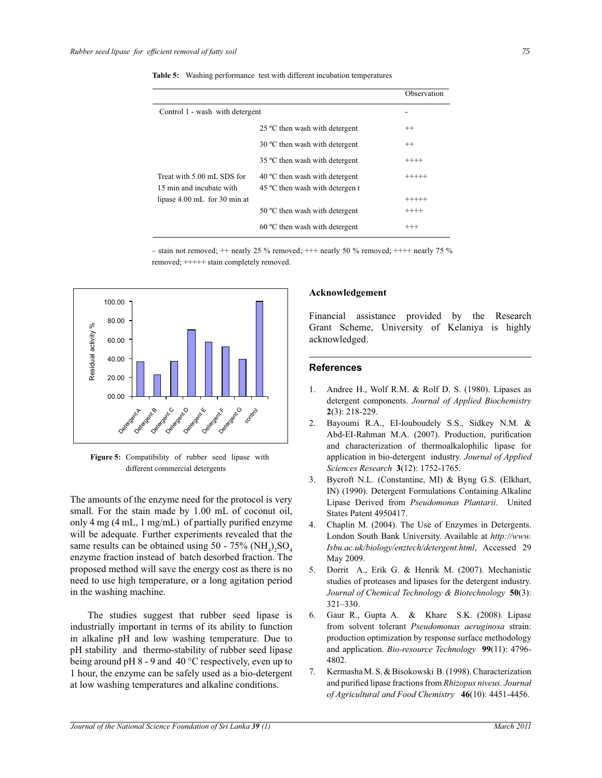|                                                        |                                                                            | Observation |
|--------------------------------------------------------|----------------------------------------------------------------------------|-------------|
| Control 1 - wash with detergent                        |                                                                            |             |
|                                                        | 25 °C then wash with detergent                                             | $^{++}$     |
|                                                        | 30 °C then wash with detergent                                             | $^{++}$     |
|                                                        | 35 °C then wash with detergent                                             | $+++++$     |
| Treat with 5.00 mL SDS for<br>15 min and incubate with | $40^{\circ}$ C then wash with detergent<br>45 °C then wash with detergen t | $+++++$     |
| lipase 4.00 mL for 30 min at                           |                                                                            | $+++++$     |
|                                                        | 50 °C then wash with detergent                                             | $+++++$     |
|                                                        | $60^{\circ}$ C then wash with detergent                                    | $^{+++}$    |
|                                                        |                                                                            |             |

**Table 5:** Washing performance test with different incubation temperatures

– stain not removed;  $+$  nearly 25 % removed;  $++$  nearly 50 % removed;  $++$  nearly 75 % removed; +++++ stain completely removed.



**Figure 5:** Compatibility of rubber seed lipase with different commercial detergents

The amounts of the enzyme need for the protocol is very small. For the stain made by 1.00 mL of coconut oil, only 4 mg (4 mL, 1 mg/mL) of partially purified enzyme will be adequate. Further experiments revealed that the same results can be obtained using  $50 - 75\% \, (\text{NH}_4)_{2} \text{SO}_4$ enzyme fraction instead of batch desorbed fraction. The proposed method will save the energy cost as there is no need to use high temperature, or a long agitation period in the washing machine.

 The studies suggest that rubber seed lipase is industrially important in terms of its ability to function in alkaline pH and low washing temperature. Due to pH stability and thermo-stability of rubber seed lipase being around pH 8 - 9 and 40 °C respectively, even up to 1 hour, the enzyme can be safely used as a bio-detergent at low washing temperatures and alkaline conditions.

## **Acknowledgement**

Financial assistance provided by the Research Grant Scheme, University of Kelaniya is highly acknowledged.

#### **References**

- Andree H., Wolf R.M. & Rolf D. S. (1980). Lipases as detergent components. *Journal of Applied Biochemistry*  **2**(3): 218-229.
- 2. Bayoumi R.A., EI-louboudely S.S., Sidkey N.M. & Abd-EI-Rahman M.A. (2007). Production, purification and characterization of thermoalkalophilic lipase for application in bio-detergent industry. *Journal of Applied Sciences Research* **3**(12): 1752-1765.
- 3. Bycroft N.L. (Constantine, MI) & Byng G.S. (Elkhart, IN) (1990). Detergent Formulations Containing Alkaline Lipase Derived from *Pseudomonas Plantarii*. United States Patent 4950417.
- 4. Chaplin M. (2004). The Use of Enzymes in Detergents. London South Bank University. Available at *http://www. Isbu.ac.uk/biology/enztech/detergent.html*, Accessed 29 May 2009.
- 5. Dorrit A., Erik G. & Henrik M. (2007). Mechanistic studies of proteases and lipases for the detergent industry. *Journal of Chemical Technology & Biotechnology* **50**(3): 321–330.
- 6. Gaur R., Gupta A. & Khare S.K. (2008). Lipase from solvent tolerant *Pseudomonas aeruginosa* strain: production optimization by response surface methodology and application. *Bio-resource Technology* **99**(11): 4796- 4802.
- 7. Kermasha M. S. & Bisokowski B. (1998). Characterization and purified lipase fractions from *Rhizopus niveus. Journal of Agricultural and Food Chemistry* **46**(10): 4451-4456.